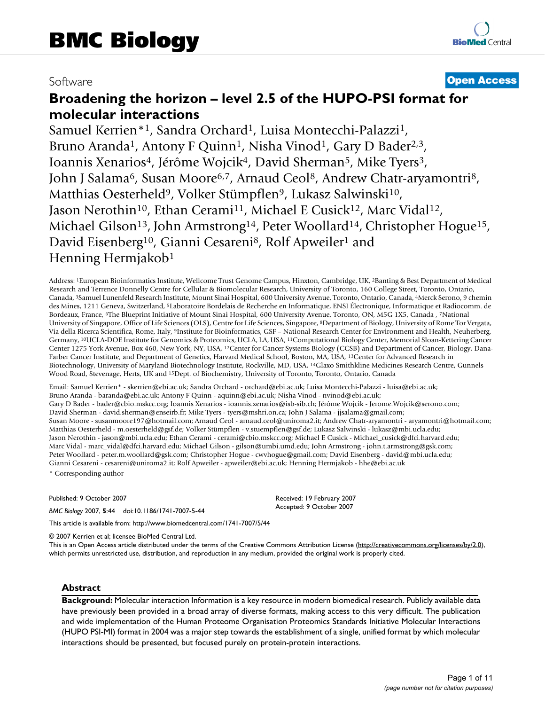# Software **[Open Access](http://www.biomedcentral.com/info/about/charter/)**

# **Broadening the horizon – level 2.5 of the HUPO-PSI format for molecular interactions**

Samuel Kerrien\*<sup>1</sup>, Sandra Orchard<sup>1</sup>, Luisa Montecchi-Palazzi<sup>1</sup>, Bruno Aranda<sup>1</sup>, Antony F Quinn<sup>1</sup>, Nisha Vinod<sup>1</sup>, Gary D Bader<sup>2,3</sup>, Ioannis Xenarios<sup>4</sup>, Jérôme Wojcik<sup>4</sup>, David Sherman<sup>5</sup>, Mike Tyers<sup>3</sup>, John J Salama6, Susan Moore6,7, Arnaud Ceol8, Andrew Chatr-aryamontri8, Matthias Oesterheld<sup>9</sup>, Volker Stümpflen<sup>9</sup>, Lukasz Salwinski<sup>10</sup>, Jason Nerothin<sup>10</sup>, Ethan Cerami<sup>11</sup>, Michael E Cusick<sup>12</sup>, Marc Vidal<sup>12</sup>, Michael Gilson<sup>13</sup>, John Armstrong<sup>14</sup>, Peter Woollard<sup>14</sup>, Christopher Hogue<sup>15</sup>, David Eisenberg<sup>10</sup>, Gianni Cesareni<sup>8</sup>, Rolf Apweiler<sup>1</sup> and Henning Hermjakob1

Address: 1European Bioinformatics Institute, Wellcome Trust Genome Campus, Hinxton, Cambridge, UK, 2Banting & Best Department of Medical Research and Terrence Donnelly Centre for Cellular & Biomolecular Research, University of Toronto, 160 College Street, Toronto, Ontario, Canada, 3Samuel Lunenfeld Research Institute, Mount Sinai Hospital, 600 University Avenue, Toronto, Ontario, Canada, 4Merck Serono, 9 chemin des Mines, 1211 Geneva, Switzerland, 5Laboratoire Bordelais de Recherche en Informatique, ENSI Électronique, Informatique et Radiocomm. de Bordeaux, France, 6The Blueprint Initiative of Mount Sinai Hospital, 600 University Avenue, Toronto, ON, M5G 1X5, Canada , 7National University of Singapore, Office of Life Sciences (OLS), Centre for Life Sciences, Singapore, <sup>8</sup>Department of Biology, University of Rome Tor Vergata, Via della Ricerca Scientifica, Rome, Italy, 9Institute for Bioinformatics, GSF – National Research Center for Environment and Health, Neuherberg, Germany, 10UCLA-DOE Institute for Genomics & Proteomics, UCLA, LA, USA, 11Computational Biology Center, Memorial Sloan-Kettering Cancer Center 1275 York Avenue, Box 460, New York, NY, USA, 12Center for Cancer Systems Biology (CCSB) and Department of Cancer, Biology, Dana-Farber Cancer Institute, and Department of Genetics, Harvard Medical School, Boston, MA, USA, 13Center for Advanced Research in Biotechnology, University of Maryland Biotechnology Institute, Rockville, MD, USA, 14Glaxo Smithkline Medicines Research Centre, Gunnels Wood Road, Stevenage, Herts, UK and 15Dept. of Biochemistry, University of Toronto, Toronto, Ontario, Canada

Email: Samuel Kerrien\* - skerrien@ebi.ac.uk; Sandra Orchard - orchard@ebi.ac.uk; Luisa Montecchi-Palazzi - luisa@ebi.ac.uk; Bruno Aranda - baranda@ebi.ac.uk; Antony F Quinn - aquinn@ebi.ac.uk; Nisha Vinod - nvinod@ebi.ac.uk; Gary D Bader - bader@cbio.mskcc.org; Ioannis Xenarios - ioannis.xenarios@isb-sib.ch; Jérôme Wojcik - Jerome.Wojcik@serono.com; David Sherman - david.sherman@enseirb.fr; Mike Tyers - tyers@mshri.on.ca; John J Salama - jjsalama@gmail.com; Susan Moore - susanmoore197@hotmail.com; Arnaud Ceol - arnaud.ceol@uniroma2.it; Andrew Chatr-aryamontri - aryamontri@hotmail.com; Matthias Oesterheld - m.oesterheld@gsf.de; Volker Stümpflen - v.stuempflen@gsf.de; Lukasz Salwinski - lukasz@mbi.ucla.edu; Jason Nerothin - jason@mbi.ucla.edu; Ethan Cerami - cerami@cbio.mskcc.org; Michael E Cusick - Michael\_cusick@dfci.harvard.edu; Marc Vidal - marc\_vidal@dfci.harvard.edu; Michael Gilson - gilson@umbi.umd.edu; John Armstrong - john.t.armstrong@gsk.com; Peter Woollard - peter.m.woollard@gsk.com; Christopher Hogue - cwvhogue@gmail.com; David Eisenberg - david@mbi.ucla.edu; Gianni Cesareni - cesareni@uniroma2.it; Rolf Apweiler - apweiler@ebi.ac.uk; Henning Hermjakob - hhe@ebi.ac.uk \* Corresponding author

Published: 9 October 2007

*BMC Biology* 2007, **5**:44 doi:10.1186/1741-7007-5-44

Received: 19 February 2007 Accepted: 9 October 2007

[This article is available from: http://www.biomedcentral.com/1741-7007/5/44](http://www.biomedcentral.com/1741-7007/5/44)

© 2007 Kerrien et al; licensee BioMed Central Ltd.

This is an Open Access article distributed under the terms of the Creative Commons Attribution License [\(http://creativecommons.org/licenses/by/2.0\)](http://creativecommons.org/licenses/by/2.0), which permits unrestricted use, distribution, and reproduction in any medium, provided the original work is properly cited.

#### **Abstract**

**Background:** Molecular interaction Information is a key resource in modern biomedical research. Publicly available data have previously been provided in a broad array of diverse formats, making access to this very difficult. The publication and wide implementation of the Human Proteome Organisation Proteomics Standards Initiative Molecular Interactions (HUPO PSI-MI) format in 2004 was a major step towards the establishment of a single, unified format by which molecular interactions should be presented, but focused purely on protein-protein interactions.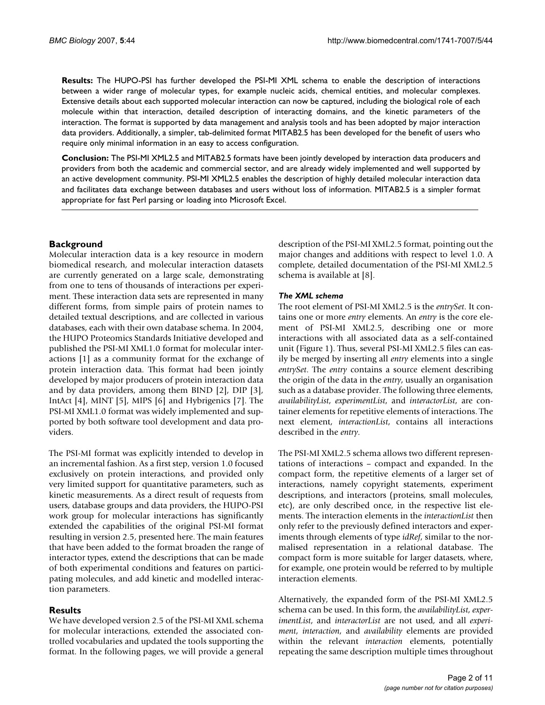**Results:** The HUPO-PSI has further developed the PSI-MI XML schema to enable the description of interactions between a wider range of molecular types, for example nucleic acids, chemical entities, and molecular complexes. Extensive details about each supported molecular interaction can now be captured, including the biological role of each molecule within that interaction, detailed description of interacting domains, and the kinetic parameters of the interaction. The format is supported by data management and analysis tools and has been adopted by major interaction data providers. Additionally, a simpler, tab-delimited format MITAB2.5 has been developed for the benefit of users who require only minimal information in an easy to access configuration.

**Conclusion:** The PSI-MI XML2.5 and MITAB2.5 formats have been jointly developed by interaction data producers and providers from both the academic and commercial sector, and are already widely implemented and well supported by an active development community. PSI-MI XML2.5 enables the description of highly detailed molecular interaction data and facilitates data exchange between databases and users without loss of information. MITAB2.5 is a simpler format appropriate for fast Perl parsing or loading into Microsoft Excel.

### **Background**

Molecular interaction data is a key resource in modern biomedical research, and molecular interaction datasets are currently generated on a large scale, demonstrating from one to tens of thousands of interactions per experiment. These interaction data sets are represented in many different forms, from simple pairs of protein names to detailed textual descriptions, and are collected in various databases, each with their own database schema. In 2004, the HUPO Proteomics Standards Initiative developed and published the PSI-MI XML1.0 format for molecular interactions [1] as a community format for the exchange of protein interaction data. This format had been jointly developed by major producers of protein interaction data and by data providers, among them BIND [2], DIP [3], IntAct [4], MINT [5], MIPS [6] and Hybrigenics [7]. The PSI-MI XML1.0 format was widely implemented and supported by both software tool development and data providers.

The PSI-MI format was explicitly intended to develop in an incremental fashion. As a first step, version 1.0 focused exclusively on protein interactions, and provided only very limited support for quantitative parameters, such as kinetic measurements. As a direct result of requests from users, database groups and data providers, the HUPO-PSI work group for molecular interactions has significantly extended the capabilities of the original PSI-MI format resulting in version 2.5, presented here. The main features that have been added to the format broaden the range of interactor types, extend the descriptions that can be made of both experimental conditions and features on participating molecules, and add kinetic and modelled interaction parameters.

### **Results**

We have developed version 2.5 of the PSI-MI XML schema for molecular interactions, extended the associated controlled vocabularies and updated the tools supporting the format. In the following pages, we will provide a general

description of the PSI-MI XML2.5 format, pointing out the major changes and additions with respect to level 1.0. A complete, detailed documentation of the PSI-MI XML2.5 schema is available at [8].

# *The XML schema*

The root element of PSI-MI XML2.5 is the *entrySet*. It contains one or more *entry* elements. An *entry* is the core element of PSI-MI XML2.5, describing one or more interactions with all associated data as a self-contained unit (Figure 1). Thus, several PSI-MI XML2.5 files can easily be merged by inserting all *entry* elements into a single *entrySet*. The *entry* contains a source element describing the origin of the data in the *entry*, usually an organisation such as a database provider. The following three elements, *availabilityList*, *experimentList*, and *interactorList*, are container elements for repetitive elements of interactions. The next element, *interactionList*, contains all interactions described in the *entry*.

The PSI-MI XML2.5 schema allows two different representations of interactions – compact and expanded. In the compact form, the repetitive elements of a larger set of interactions, namely copyright statements, experiment descriptions, and interactors (proteins, small molecules, etc), are only described once, in the respective list elements. The interaction elements in the *interactionList* then only refer to the previously defined interactors and experiments through elements of type *idRef*, similar to the normalised representation in a relational database. The compact form is more suitable for larger datasets, where, for example, one protein would be referred to by multiple interaction elements.

Alternatively, the expanded form of the PSI-MI XML2.5 schema can be used. In this form, the *availabilityList*, *experimentList*, and *interactorList* are not used, and all *experiment*, *interaction*, and *availability* elements are provided within the relevant *interaction* elements, potentially repeating the same description multiple times throughout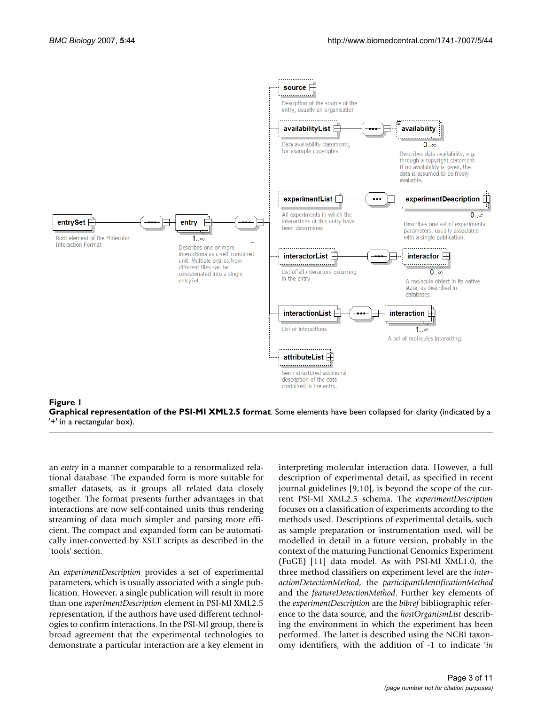

**Graphical representation of the PSI-MI XML2.5 format**. Some elements have been collapsed for clarity (indicated by a '+' in a rectangular box).

an *entry* in a manner comparable to a renormalized relational database. The expanded form is more suitable for smaller datasets, as it groups all related data closely together. The format presents further advantages in that interactions are now self-contained units thus rendering streaming of data much simpler and parsing more efficient. The compact and expanded form can be automatically inter-converted by XSLT scripts as described in the 'tools' section.

An *experimentDescription* provides a set of experimental parameters, which is usually associated with a single publication. However, a single publication will result in more than one *experimentDescription* element in PSI-MI XML2.5 representation, if the authors have used different technologies to confirm interactions. In the PSI-MI group, there is broad agreement that the experimental technologies to demonstrate a particular interaction are a key element in

interpreting molecular interaction data. However, a full description of experimental detail, as specified in recent journal guidelines [9,10], is beyond the scope of the current PSI-MI XML2.5 schema. The *experimentDescription* focuses on a classification of experiments according to the methods used. Descriptions of experimental details, such as sample preparation or instrumentation used, will be modelled in detail in a future version, probably in the context of the maturing Functional Genomics Experiment (FuGE) [11] data model. As with PSI-MI XML1.0, the three method classifiers on experiment level are the *interactionDetectionMethod*, the *participantIdentificationMethod* and the *featureDetectionMethod*. Further key elements of the *experimentDescription* are the *bibref* bibliographic reference to the data source, and the *hostOrganismList* describing the environment in which the experiment has been performed. The latter is described using the NCBI taxonomy identifiers, with the addition of -1 to indicate '*in*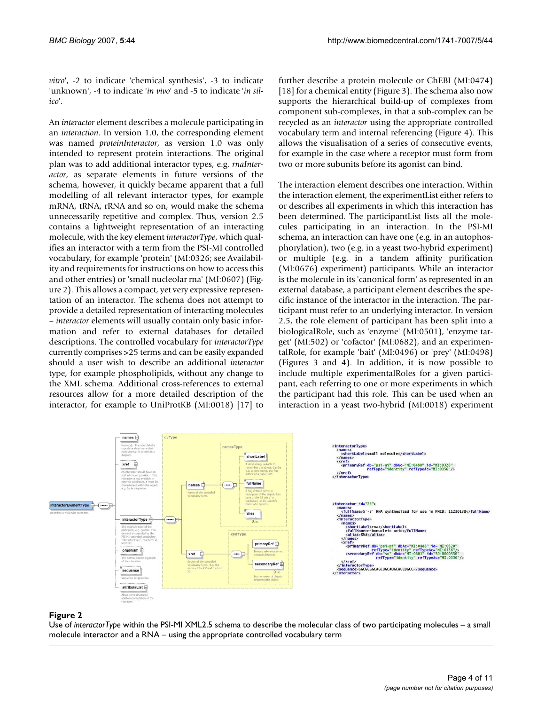*vitro*', -2 to indicate 'chemical synthesis', -3 to indicate 'unknown', -4 to indicate '*in vivo*' and -5 to indicate '*in silico*'.

An *interactor* element describes a molecule participating in an *interaction*. In version 1.0, the corresponding element was named *proteinInteractor*, as version 1.0 was only intended to represent protein interactions. The original plan was to add additional interactor types, e.g. *rnaInteractor*, as separate elements in future versions of the schema, however, it quickly became apparent that a full modelling of all relevant interactor types, for example mRNA, tRNA, rRNA and so on, would make the schema unnecessarily repetitive and complex. Thus, version 2.5 contains a lightweight representation of an interacting molecule, with the key element *interactorType*, which qualifies an interactor with a term from the PSI-MI controlled vocabulary, for example 'protein' (MI:0326; see Availability and requirements for instructions on how to access this and other entries) or 'small nucleolar rna' (MI:0607) (Figure 2). This allows a compact, yet very expressive representation of an interactor. The schema does not attempt to provide a detailed representation of interacting molecules – *interactor* elements will usually contain only basic information and refer to external databases for detailed descriptions. The controlled vocabulary for *interactorType* currently comprises >25 terms and can be easily expanded should a user wish to describe an additional *interactor* type, for example phospholipids, without any change to the XML schema. Additional cross-references to external resources allow for a more detailed description of the interactor, for example to UniProtKB (MI:0018) [17] to

further describe a protein molecule or ChEBI (MI:0474) [18] for a chemical entity (Figure 3). The schema also now supports the hierarchical build-up of complexes from component sub-complexes, in that a sub-complex can be recycled as an *interactor* using the appropriate controlled vocabulary term and internal referencing (Figure 4). This allows the visualisation of a series of consecutive events, for example in the case where a receptor must form from two or more subunits before its agonist can bind.

The interaction element describes one interaction. Within the interaction element, the experimentList either refers to or describes all experiments in which this interaction has been determined. The participantList lists all the molecules participating in an interaction. In the PSI-MI schema, an interaction can have one (e.g. in an autophosphorylation), two (e.g. in a yeast two-hybrid experiment) or multiple (e.g. in a tandem affinity purification (MI:0676) experiment) participants. While an interactor is the molecule in its 'canonical form' as represented in an external database, a participant element describes the specific instance of the interactor in the interaction. The participant must refer to an underlying interactor. In version 2.5, the role element of participant has been split into a biologicalRole, such as 'enzyme' (MI:0501), 'enzyme target' (MI:502) or 'cofactor' (MI:0682), and an experimentalRole, for example 'bait' (MI:0496) or 'prey' (MI:0498) (Figures 3 and 4). In addition, it is now possible to include multiple experimentalRoles for a given participant, each referring to one or more experiments in which the participant had this role. This can be used when an interaction in a yeast two-hybrid (MI:0018) experiment



#### **Figure 2**

Use of *interactorType* within the PSI-MI XML2.5 schema to describe the molecular class of two participating molecules – a small molecule interactor and a RNA – using the appropriate controlled vocabulary term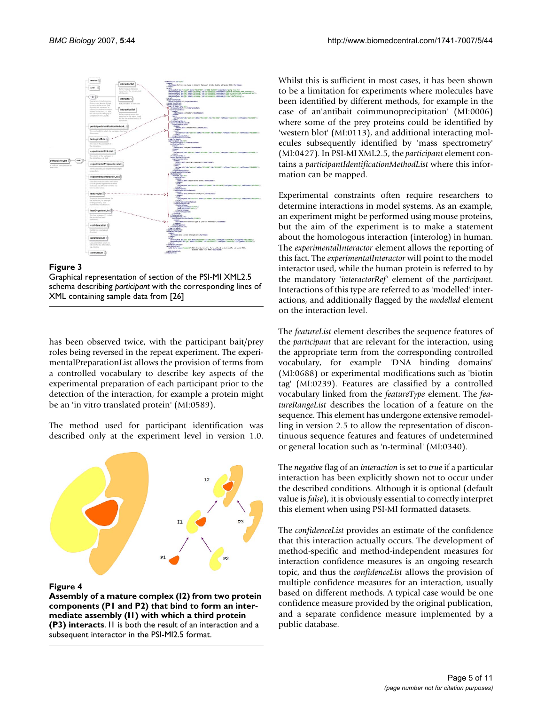

#### Figure 3

Graphical representation of section of the PSI-MI XML2.5 schema describing *participant* with the corresponding lines of XML containing sample data from [26]

has been observed twice, with the participant bait/prey roles being reversed in the repeat experiment. The experimentalPreparationList allows the provision of terms from a controlled vocabulary to describe key aspects of the experimental preparation of each participant prior to the detection of the interaction, for example a protein might be an 'in vitro translated protein' (MI:0589).

The method used for participant identification was described only at the experiment level in version 1.0.



#### Figure 4

**Assembly of a mature complex (I2) from two protein components (P1 and P2) that bind to form an intermediate assembly (I1) with which a third protein (P3) interacts**. I1 is both the result of an interaction and a subsequent interactor in the PSI-MI2.5 format.

Whilst this is sufficient in most cases, it has been shown to be a limitation for experiments where molecules have been identified by different methods, for example in the case of an'antibait coimmunoprecipitation' (MI:0006) where some of the prey proteins could be identified by 'western blot' (MI:0113), and additional interacting molecules subsequently identified by 'mass spectrometry' (MI:0427). In PSI-MI XML2.5, the *participant* element contains a *participantIdentificationMethodList* where this information can be mapped.

Experimental constraints often require researchers to determine interactions in model systems. As an example, an experiment might be performed using mouse proteins, but the aim of the experiment is to make a statement about the homologous interaction (interolog) in human. The *experimentalInteractor* element allows the reporting of this fact. The *experimentalInteractor* will point to the model interactor used, while the human protein is referred to by the mandatory '*interactorRef'* element of the *participant*. Interactions of this type are referred to as 'modelled' interactions, and additionally flagged by the *modelled* element on the interaction level.

The *featureList* element describes the sequence features of the *participant* that are relevant for the interaction, using the appropriate term from the corresponding controlled vocabulary, for example 'DNA binding domains' (MI:0688) or experimental modifications such as 'biotin tag' (MI:0239). Features are classified by a controlled vocabulary linked from the *featureType* element. The *featureRangeList* describes the location of a feature on the sequence. This element has undergone extensive remodelling in version 2.5 to allow the representation of discontinuous sequence features and features of undetermined or general location such as 'n-terminal' (MI:0340).

The *negative* flag of an *interaction* is set to *true* if a particular interaction has been explicitly shown not to occur under the described conditions. Although it is optional (default value is *false*), it is obviously essential to correctly interpret this element when using PSI-MI formatted datasets.

The *confidenceList* provides an estimate of the confidence that this interaction actually occurs. The development of method-specific and method-independent measures for interaction confidence measures is an ongoing research topic, and thus the *confidenceList* allows the provision of multiple confidence measures for an interaction, usually based on different methods. A typical case would be one confidence measure provided by the original publication, and a separate confidence measure implemented by a public database.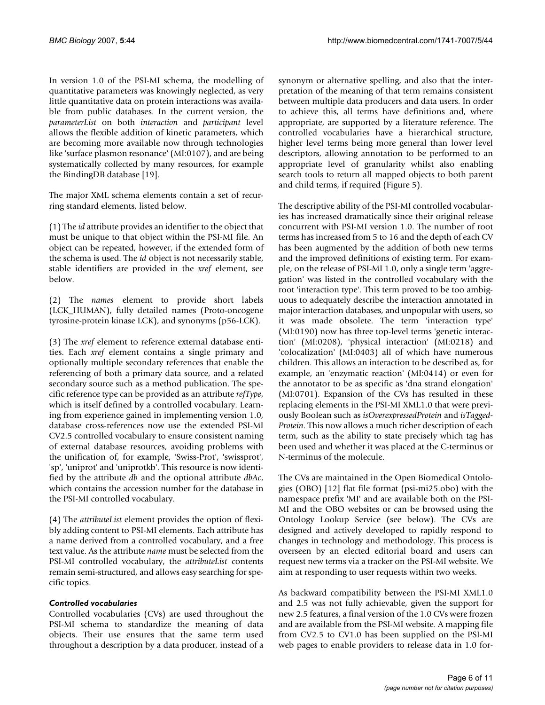In version 1.0 of the PSI-MI schema, the modelling of quantitative parameters was knowingly neglected, as very little quantitative data on protein interactions was available from public databases. In the current version, the *parameterList* on both *interaction* and *participant* level allows the flexible addition of kinetic parameters, which are becoming more available now through technologies like 'surface plasmon resonance' (MI:0107), and are being systematically collected by many resources, for example the BindingDB database [19].

The major XML schema elements contain a set of recurring standard elements, listed below.

(1) The *id* attribute provides an identifier to the object that must be unique to that object within the PSI-MI file. An object can be repeated, however, if the extended form of the schema is used. The *id* object is not necessarily stable, stable identifiers are provided in the *xref* element, see below.

(2) The *names* element to provide short labels (LCK\_HUMAN), fully detailed names (Proto-oncogene tyrosine-protein kinase LCK), and synonyms (p56-LCK).

(3) The *xref* element to reference external database entities. Each *xref* element contains a single primary and optionally multiple secondary references that enable the referencing of both a primary data source, and a related secondary source such as a method publication. The specific reference type can be provided as an attribute *refType*, which is itself defined by a controlled vocabulary. Learning from experience gained in implementing version 1.0, database cross-references now use the extended PSI-MI CV2.5 controlled vocabulary to ensure consistent naming of external database resources, avoiding problems with the unification of, for example, 'Swiss-Prot', 'swissprot', 'sp', 'uniprot' and 'uniprotkb'. This resource is now identified by the attribute *db* and the optional attribute *dbAc*, which contains the accession number for the database in the PSI-MI controlled vocabulary.

(4) The *attributeList* element provides the option of flexibly adding content to PSI-MI elements. Each attribute has a name derived from a controlled vocabulary, and a free text value. As the attribute *name* must be selected from the PSI-MI controlled vocabulary, the *attributeList* contents remain semi-structured, and allows easy searching for specific topics.

#### *Controlled vocabularies*

Controlled vocabularies (CVs) are used throughout the PSI-MI schema to standardize the meaning of data objects. Their use ensures that the same term used throughout a description by a data producer, instead of a synonym or alternative spelling, and also that the interpretation of the meaning of that term remains consistent between multiple data producers and data users. In order to achieve this, all terms have definitions and, where appropriate, are supported by a literature reference. The controlled vocabularies have a hierarchical structure, higher level terms being more general than lower level descriptors, allowing annotation to be performed to an appropriate level of granularity whilst also enabling search tools to return all mapped objects to both parent and child terms, if required (Figure 5).

The descriptive ability of the PSI-MI controlled vocabularies has increased dramatically since their original release concurrent with PSI-MI version 1.0. The number of root terms has increased from 5 to 16 and the depth of each CV has been augmented by the addition of both new terms and the improved definitions of existing term. For example, on the release of PSI-MI 1.0, only a single term 'aggregation' was listed in the controlled vocabulary with the root 'interaction type'. This term proved to be too ambiguous to adequately describe the interaction annotated in major interaction databases, and unpopular with users, so it was made obsolete. The term 'interaction type' (MI:0190) now has three top-level terms 'genetic interaction' (MI:0208), 'physical interaction' (MI:0218) and 'colocalization' (MI:0403) all of which have numerous children. This allows an interaction to be described as, for example, an 'enzymatic reaction' (MI:0414) or even for the annotator to be as specific as 'dna strand elongation' (MI:0701). Expansion of the CVs has resulted in these replacing elements in the PSI-MI XML1.0 that were previously Boolean such as *isOverexpressedProtein* and *isTagged-Protein*. This now allows a much richer description of each term, such as the ability to state precisely which tag has been used and whether it was placed at the C-terminus or N-terminus of the molecule.

The CVs are maintained in the Open Biomedical Ontologies (OBO) [12] flat file format (psi-mi25.obo) with the namespace prefix 'MI' and are available both on the PSI-MI and the OBO websites or can be browsed using the Ontology Lookup Service (see below). The CVs are designed and actively developed to rapidly respond to changes in technology and methodology. This process is overseen by an elected editorial board and users can request new terms via a tracker on the PSI-MI website. We aim at responding to user requests within two weeks.

As backward compatibility between the PSI-MI XML1.0 and 2.5 was not fully achievable, given the support for new 2.5 features, a final version of the 1.0 CVs were frozen and are available from the PSI-MI website. A mapping file from CV2.5 to CV1.0 has been supplied on the PSI-MI web pages to enable providers to release data in 1.0 for-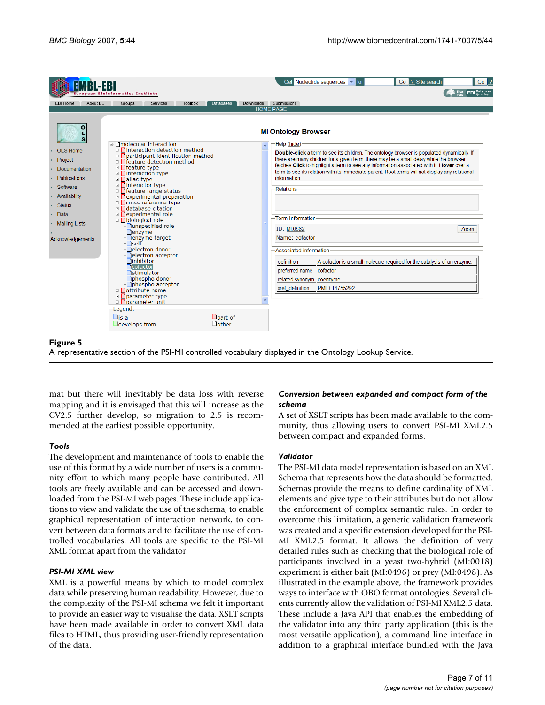| <b>About EBI</b><br>Submissions<br>EBI Home<br>Groups<br><b>Toolbox</b><br>Databases<br>Downloads<br>Services<br><b>HOME PAGE</b><br>o<br><b>MI Ontology Browser</b><br>s<br><b>E-1</b> Imolecular interaction<br>Help (hide)<br>$\hat{\mathcal{A}}$<br><b>E-</b> interaction detection method<br><b>OLS Home</b><br>Double-click a term to see its children. The ontology browser is populated dynamically. If<br><b>E-</b> Darticipant identification method<br>there are many children for a given term, there may be a small delay while the browser<br>Project<br><b>E</b> lifeature detection method<br>fetches Click to highlight a term to see any information associated with it. Hover over a<br><b>E</b> feature type<br>Documentation<br>term to see its relation with its immediate parent. Root terms will not display any relational<br>interaction type<br>Publications<br>information.<br><b>B</b> alias type<br>interactor type<br>Software<br>-Relations<br><b>E</b> feature range status<br>Availability<br><b>E</b> experimental preparation<br><b>E</b> Cross-reference type<br><b>Status</b><br><b>E-</b> Idatabase citation<br><b>E Rexperimental</b> role<br>Data<br>-Term Information<br><b>biological role</b><br><b>Mailing Lists</b><br><b>Qunspecified role</b><br>ID: MI:0682<br>Zoom<br><b>Denzyme</b><br><b>nenzyme</b> target<br>Name: cofactor<br>Acknowledgements<br><b>D</b> self<br><b>Nelectron donor</b><br><b>Associated information</b><br><b>Delectron acceptor</b><br><b>Dinhibitor</b><br><b>Idefinition</b><br>A cofactor is a small molecule required for the catalysis of an enzyme.<br><b>n</b> cofactor<br><b>preferred</b> name<br>cofactor<br><b>nstimulator</b><br><b>D</b> phospho donor<br>related synonym coenzyme<br>phospho acceptor<br>PMID:14755292<br>xref definition<br><b>E</b> attribute name<br><b>Deparameter type</b><br><b>E- Oparameter</b> unit<br>Legend:<br>$\Box$ part of | uropean Bioinformatics Institute | Go   ? Site search<br>Go $ 2$<br>Get Nucleotide sequences v<br>l for<br><b>EBI</b> Database |
|----------------------------------------------------------------------------------------------------------------------------------------------------------------------------------------------------------------------------------------------------------------------------------------------------------------------------------------------------------------------------------------------------------------------------------------------------------------------------------------------------------------------------------------------------------------------------------------------------------------------------------------------------------------------------------------------------------------------------------------------------------------------------------------------------------------------------------------------------------------------------------------------------------------------------------------------------------------------------------------------------------------------------------------------------------------------------------------------------------------------------------------------------------------------------------------------------------------------------------------------------------------------------------------------------------------------------------------------------------------------------------------------------------------------------------------------------------------------------------------------------------------------------------------------------------------------------------------------------------------------------------------------------------------------------------------------------------------------------------------------------------------------------------------------------------------------------------------------------------------------------------------------------------------------------------------------------|----------------------------------|---------------------------------------------------------------------------------------------|
|                                                                                                                                                                                                                                                                                                                                                                                                                                                                                                                                                                                                                                                                                                                                                                                                                                                                                                                                                                                                                                                                                                                                                                                                                                                                                                                                                                                                                                                                                                                                                                                                                                                                                                                                                                                                                                                                                                                                                    |                                  |                                                                                             |
| $\Box$ other<br>$\Box$ develops from                                                                                                                                                                                                                                                                                                                                                                                                                                                                                                                                                                                                                                                                                                                                                                                                                                                                                                                                                                                                                                                                                                                                                                                                                                                                                                                                                                                                                                                                                                                                                                                                                                                                                                                                                                                                                                                                                                               | Dis a                            |                                                                                             |

#### A representative section of the PSI- **Figure 5** MI controlled vocabulary displayed in the Ontology Lookup Service

A representative section of the PSI-MI controlled vocabulary displayed in the Ontology Lookup Service.

mat but there will inevitably be data loss with reverse mapping and it is envisaged that this will increase as the CV2.5 further develop, so migration to 2.5 is recommended at the earliest possible opportunity.

#### *Tools*

The development and maintenance of tools to enable the use of this format by a wide number of users is a community effort to which many people have contributed. All tools are freely available and can be accessed and downloaded from the PSI-MI web pages. These include applications to view and validate the use of the schema, to enable graphical representation of interaction network, to convert between data formats and to facilitate the use of controlled vocabularies. All tools are specific to the PSI-MI XML format apart from the validator.

#### *PSI-MI XML view*

XML is a powerful means by which to model complex data while preserving human readability. However, due to the complexity of the PSI-MI schema we felt it important to provide an easier way to visualise the data. XSLT scripts have been made available in order to convert XML data files to HTML, thus providing user-friendly representation of the data.

#### *Conversion between expanded and compact form of the schema*

A set of XSLT scripts has been made available to the community, thus allowing users to convert PSI-MI XML2.5 between compact and expanded forms.

#### *Validator*

The PSI-MI data model representation is based on an XML Schema that represents how the data should be formatted. Schemas provide the means to define cardinality of XML elements and give type to their attributes but do not allow the enforcement of complex semantic rules. In order to overcome this limitation, a generic validation framework was created and a specific extension developed for the PSI-MI XML2.5 format. It allows the definition of very detailed rules such as checking that the biological role of participants involved in a yeast two-hybrid (MI:0018) experiment is either bait (MI:0496) or prey (MI:0498). As illustrated in the example above, the framework provides ways to interface with OBO format ontologies. Several clients currently allow the validation of PSI-MI XML2.5 data. These include a Java API that enables the embedding of the validator into any third party application (this is the most versatile application), a command line interface in addition to a graphical interface bundled with the Java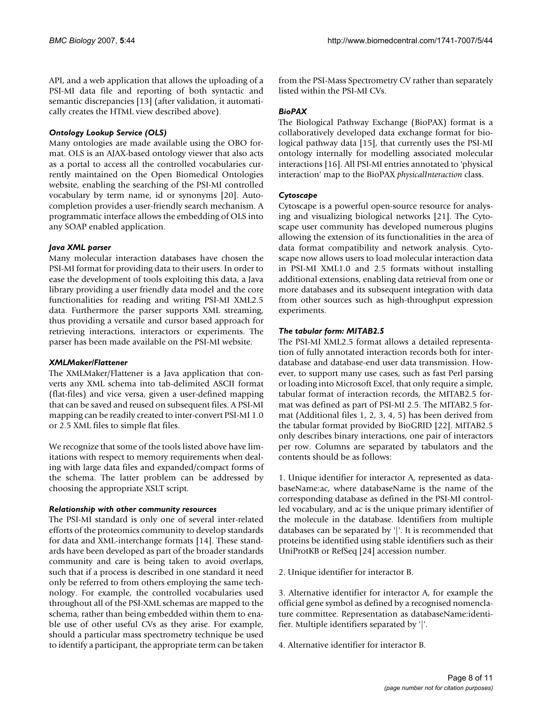API, and a web application that allows the uploading of a PSI-MI data file and reporting of both syntactic and semantic discrepancies [13] (after validation, it automatically creates the HTML view described above).

#### *Ontology Lookup Service (OLS)*

Many ontologies are made available using the OBO format. OLS is an AJAX-based ontology viewer that also acts as a portal to access all the controlled vocabularies currently maintained on the Open Biomedical Ontologies website, enabling the searching of the PSI-MI controlled vocabulary by term name, id or synonyms [20]. Autocompletion provides a user-friendly search mechanism. A programmatic interface allows the embedding of OLS into any SOAP enabled application.

#### *Java XML parser*

Many molecular interaction databases have chosen the PSI-MI format for providing data to their users. In order to ease the development of tools exploiting this data, a Java library providing a user friendly data model and the core functionalities for reading and writing PSI-MI XML2.5 data. Furthermore the parser supports XML streaming, thus providing a versatile and cursor based approach for retrieving interactions, interactors or experiments. The parser has been made available on the PSI-MI website.

### *XMLMaker/Flattener*

The XMLMaker/Flattener is a Java application that converts any XML schema into tab-delimited ASCII format (flat-files) and vice versa, given a user-defined mapping that can be saved and reused on subsequent files. A PSI-MI mapping can be readily created to inter-convert PSI-MI 1.0 or 2.5 XML files to simple flat files.

We recognize that some of the tools listed above have limitations with respect to memory requirements when dealing with large data files and expanded/compact forms of the schema. The latter problem can be addressed by choosing the appropriate XSLT script.

#### *Relationship with other community resources*

The PSI-MI standard is only one of several inter-related efforts of the proteomics community to develop standards for data and XML-interchange formats [14]. These standards have been developed as part of the broader standards community and care is being taken to avoid overlaps, such that if a process is described in one standard it need only be referred to from others employing the same technology. For example, the controlled vocabularies used throughout all of the PSI-XML schemas are mapped to the schema, rather than being embedded within them to enable use of other useful CVs as they arise. For example, should a particular mass spectrometry technique be used to identify a participant, the appropriate term can be taken

from the PSI-Mass Spectrometry CV rather than separately listed within the PSI-MI CVs.

### *BioPAX*

The Biological Pathway Exchange (BioPAX) format is a collaboratively developed data exchange format for biological pathway data [15], that currently uses the PSI-MI ontology internally for modelling associated molecular interactions [16]. All PSI-MI entries annotated to 'physical interaction' map to the BioPAX *physicalInteraction* class.

### *Cytoscape*

Cytoscape is a powerful open-source resource for analysing and visualizing biological networks [21]. The Cytoscape user community has developed numerous plugins allowing the extension of its functionalities in the area of data format compatibility and network analysis. Cytoscape now allows users to load molecular interaction data in PSI-MI XML1.0 and 2.5 formats without installing additional extensions, enabling data retrieval from one or more databases and its subsequent integration with data from other sources such as high-throughput expression experiments.

### *The tabular form: MITAB2.5*

The PSI-MI XML2.5 format allows a detailed representation of fully annotated interaction records both for interdatabase and database-end user data transmission. However, to support many use cases, such as fast Perl parsing or loading into Microsoft Excel, that only require a simple, tabular format of interaction records, the MITAB2.5 format was defined as part of PSI-MI 2.5. The MITAB2.5 format (Additional files 1, 2, 3, 4, 5) has been derived from the tabular format provided by BioGRID [22]. MITAB2.5 only describes binary interactions, one pair of interactors per row. Columns are separated by tabulators and the contents should be as follows:

1. Unique identifier for interactor A, represented as databaseName:ac, where databaseName is the name of the corresponding database as defined in the PSI-MI controlled vocabulary, and ac is the unique primary identifier of the molecule in the database. Identifiers from multiple databases can be separated by '|'. It is recommended that proteins be identified using stable identifiers such as their UniProtKB or RefSeq [24] accession number.

2. Unique identifier for interactor B.

3. Alternative identifier for interactor A, for example the official gene symbol as defined by a recognised nomenclature committee. Representation as databaseName:identifier. Multiple identifiers separated by '|'.

4. Alternative identifier for interactor B.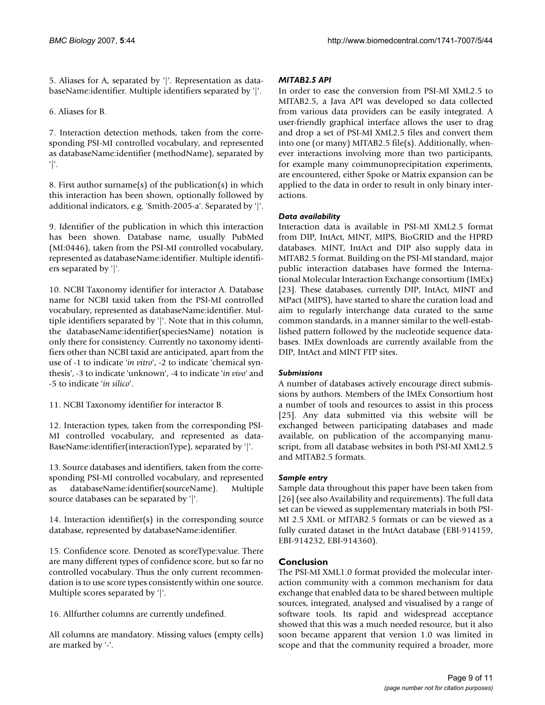5. Aliases for A, separated by '|'. Representation as databaseName:identifier. Multiple identifiers separated by '|'.

6. Aliases for B.

7. Interaction detection methods, taken from the corresponding PSI-MI controlled vocabulary, and represented as databaseName:identifier (methodName), separated by '|'.

8. First author surname(s) of the publication(s) in which this interaction has been shown, optionally followed by additional indicators, e.g. 'Smith-2005-a'. Separated by '|'.

9. Identifier of the publication in which this interaction has been shown. Database name, usually PubMed (MI:0446), taken from the PSI-MI controlled vocabulary, represented as databaseName:identifier. Multiple identifiers separated by '|'.

10. NCBI Taxonomy identifier for interactor A. Database name for NCBI taxid taken from the PSI-MI controlled vocabulary, represented as databaseName:identifier. Multiple identifiers separated by '|'. Note that in this column, the databaseName:identifier(speciesName) notation is only there for consistency. Currently no taxonomy identifiers other than NCBI taxid are anticipated, apart from the use of -1 to indicate '*in vitro*', -2 to indicate 'chemical synthesis', -3 to indicate 'unknown', -4 to indicate '*in vivo*' and -5 to indicate '*in silico*'.

11. NCBI Taxonomy identifier for interactor B.

12. Interaction types, taken from the corresponding PSI-MI controlled vocabulary, and represented as data-BaseName:identifier(interactionType), separated by '|'.

13. Source databases and identifiers, taken from the corresponding PSI-MI controlled vocabulary, and represented as databaseName:identifier(sourceName). Multiple source databases can be separated by '|'.

14. Interaction identifier(s) in the corresponding source database, represented by databaseName:identifier.

15. Confidence score. Denoted as scoreType:value. There are many different types of confidence score, but so far no controlled vocabulary. Thus the only current recommendation is to use score types consistently within one source. Multiple scores separated by '|'.

16. Allfurther columns are currently undefined.

All columns are mandatory. Missing values (empty cells) are marked by '-'.

#### *MITAB2.5 API*

In order to ease the conversion from PSI-MI XML2.5 to MITAB2.5, a Java API was developed so data collected from various data providers can be easily integrated. A user-friendly graphical interface allows the user to drag and drop a set of PSI-MI XML2.5 files and convert them into one (or many) MITAB2.5 file(s). Additionally, whenever interactions involving more than two participants, for example many coimmunoprecipitation experiments, are encountered, either Spoke or Matrix expansion can be applied to the data in order to result in only binary interactions.

#### *Data availability*

Interaction data is available in PSI-MI XML2.5 format from DIP, IntAct, MINT, MIPS, BioGRID and the HPRD databases. MINT, IntAct and DIP also supply data in MITAB2.5 format. Building on the PSI-MI standard, major public interaction databases have formed the International Molecular Interaction Exchange consortium (IMEx) [23]. These databases, currently DIP, IntAct, MINT and MPact (MIPS), have started to share the curation load and aim to regularly interchange data curated to the same common standards, in a manner similar to the well-established pattern followed by the nucleotide sequence databases. IMEx downloads are currently available from the DIP, IntAct and MINT FTP sites.

### *Submissions*

A number of databases actively encourage direct submissions by authors. Members of the IMEx Consortium host a number of tools and resources to assist in this process [25]. Any data submitted via this website will be exchanged between participating databases and made available, on publication of the accompanying manuscript, from all database websites in both PSI-MI XML2.5 and MITAB2.5 formats.

#### *Sample entry*

Sample data throughout this paper have been taken from [26] (see also Availability and requirements). The full data set can be viewed as supplementary materials in both PSI-MI 2.5 XML or MITAB2.5 formats or can be viewed as a fully curated dataset in the IntAct database (EBI-914159, EBI-914232, EBI-914360).

### **Conclusion**

The PSI-MI XML1.0 format provided the molecular interaction community with a common mechanism for data exchange that enabled data to be shared between multiple sources, integrated, analysed and visualised by a range of software tools. Its rapid and widespread acceptance showed that this was a much needed resource, but it also soon became apparent that version 1.0 was limited in scope and that the community required a broader, more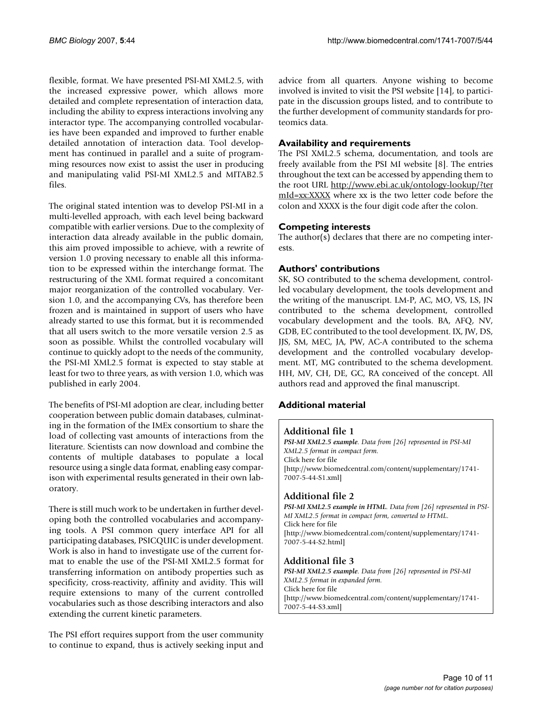flexible, format. We have presented PSI-MI XML2.5, with the increased expressive power, which allows more detailed and complete representation of interaction data, including the ability to express interactions involving any interactor type. The accompanying controlled vocabularies have been expanded and improved to further enable detailed annotation of interaction data. Tool development has continued in parallel and a suite of programming resources now exist to assist the user in producing and manipulating valid PSI-MI XML2.5 and MITAB2.5 files.

The original stated intention was to develop PSI-MI in a multi-levelled approach, with each level being backward compatible with earlier versions. Due to the complexity of interaction data already available in the public domain, this aim proved impossible to achieve, with a rewrite of version 1.0 proving necessary to enable all this information to be expressed within the interchange format. The restructuring of the XML format required a concomitant major reorganization of the controlled vocabulary. Version 1.0, and the accompanying CVs, has therefore been frozen and is maintained in support of users who have already started to use this format, but it is recommended that all users switch to the more versatile version 2.5 as soon as possible. Whilst the controlled vocabulary will continue to quickly adopt to the needs of the community, the PSI-MI XML2.5 format is expected to stay stable at least for two to three years, as with version 1.0, which was published in early 2004.

The benefits of PSI-MI adoption are clear, including better cooperation between public domain databases, culminating in the formation of the IMEx consortium to share the load of collecting vast amounts of interactions from the literature. Scientists can now download and combine the contents of multiple databases to populate a local resource using a single data format, enabling easy comparison with experimental results generated in their own laboratory.

There is still much work to be undertaken in further developing both the controlled vocabularies and accompanying tools. A PSI common query interface API for all participating databases, PSICQUIC is under development. Work is also in hand to investigate use of the current format to enable the use of the PSI-MI XML2.5 format for transferring information on antibody properties such as specificity, cross-reactivity, affinity and avidity. This will require extensions to many of the current controlled vocabularies such as those describing interactors and also extending the current kinetic parameters.

The PSI effort requires support from the user community to continue to expand, thus is actively seeking input and advice from all quarters. Anyone wishing to become involved is invited to visit the PSI website [14], to participate in the discussion groups listed, and to contribute to the further development of community standards for proteomics data.

### **Availability and requirements**

The PSI XML2.5 schema, documentation, and tools are freely available from the PSI MI website [8]. The entries throughout the text can be accessed by appending them to the root URL [http://www.ebi.ac.uk/ontology-lookup/?ter](http://www.ebi.ac.uk/ontology-lookup/?termId=xx:XXXX) [mId=xx:XXXX](http://www.ebi.ac.uk/ontology-lookup/?termId=xx:XXXX) where xx is the two letter code before the colon and XXXX is the four digit code after the colon.

# **Competing interests**

The author(s) declares that there are no competing interests.

# **Authors' contributions**

SK, SO contributed to the schema development, controlled vocabulary development, the tools development and the writing of the manuscript. LM-P, AC, MO, VS, LS, JN contributed to the schema development, controlled vocabulary development and the tools. BA, AFQ, NV, GDB, EC contributed to the tool development. IX, JW, DS, JJS, SM, MEC, JA, PW, AC-A contributed to the schema development and the controlled vocabulary development. MT, MG contributed to the schema development. HH, MV, CH, DE, GC, RA conceived of the concept. All authors read and approved the final manuscript.

# **Additional material**

#### **Additional file 1**

*PSI-MI XML2.5 example. Data from [26] represented in PSI-MI XML2.5 format in compact form.* Click here for file [\[http://www.biomedcentral.com/content/supplementary/1741-](http://www.biomedcentral.com/content/supplementary/1741-7007-5-44-S1.xml) 7007-5-44-S1.xml]

### **Additional file 2**

*PSI-MI XML2.5 example in HTML. Data from [26] represented in PSI-MI XML2.5 format in compact form, converted to HTML.* Click here for file [\[http://www.biomedcentral.com/content/supplementary/1741-](http://www.biomedcentral.com/content/supplementary/1741-7007-5-44-S2.html) 7007-5-44-S2.html]

### **Additional file 3**

*PSI-MI XML2.5 example. Data from [26] represented in PSI-MI XML2.5 format in expanded form.* Click here for file [\[http://www.biomedcentral.com/content/supplementary/1741-](http://www.biomedcentral.com/content/supplementary/1741-7007-5-44-S3.xml) 7007-5-44-S3.xml]